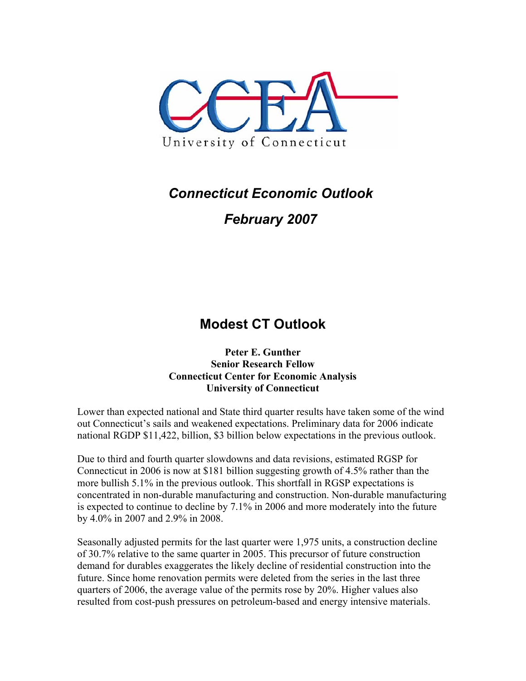

## *Connecticut Economic Outlook*

## *February 2007*

## **Modest CT Outlook**

**Peter E. Gunther Senior Research Fellow Connecticut Center for Economic Analysis University of Connecticut** 

Lower than expected national and State third quarter results have taken some of the wind out Connecticut's sails and weakened expectations. Preliminary data for 2006 indicate national RGDP \$11,422, billion, \$3 billion below expectations in the previous outlook.

Due to third and fourth quarter slowdowns and data revisions, estimated RGSP for Connecticut in 2006 is now at \$181 billion suggesting growth of 4.5% rather than the more bullish 5.1% in the previous outlook. This shortfall in RGSP expectations is concentrated in non-durable manufacturing and construction. Non-durable manufacturing is expected to continue to decline by 7.1% in 2006 and more moderately into the future by 4.0% in 2007 and 2.9% in 2008.

Seasonally adjusted permits for the last quarter were 1,975 units, a construction decline of 30.7% relative to the same quarter in 2005. This precursor of future construction demand for durables exaggerates the likely decline of residential construction into the future. Since home renovation permits were deleted from the series in the last three quarters of 2006, the average value of the permits rose by 20%. Higher values also resulted from cost-push pressures on petroleum-based and energy intensive materials.